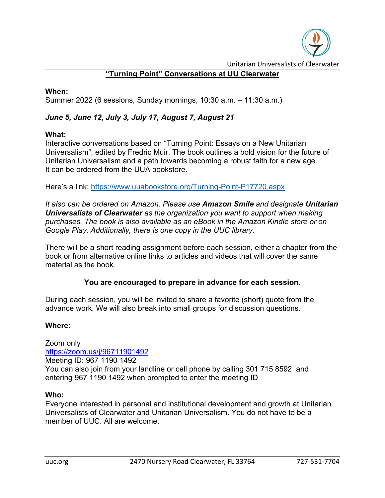

Unitarian Universalists of Clearwater

# **"Turning Point" Conversations at UU Clearwater**

#### **When:**

Summer 2022 (6 sessions, Sunday mornings, 10:30 a.m. – 11:30 a.m.)

# *June 5, June 12, July 3, July 17, August 7, August 21*

#### **What:**

Interactive conversations based on "Turning Point: Essays on a New Unitarian Universalism", edited by Fredric Muir. The book outlines a bold vision for the future of Unitarian Universalism and a path towards becoming a robust faith for a new age. It can be ordered from the UUA bookstore.

Here's a link:<https://www.uuabookstore.org/Turning-Point-P17720.aspx>

*It also can be ordered on Amazon. Please use Amazon Smile and designate Unitarian Universalists of Clearwater as the organization you want to support when making purchases. The book is also available as an eBook in the Amazon Kindle store or on Google Play. Additionally, there is one copy in the UUC library.*

There will be a short reading assignment before each session, either a chapter from the book or from alternative online links to articles and videos that will cover the same material as the book.

#### **You are encouraged to prepare in advance for each session**.

During each session, you will be invited to share a favorite (short) quote from the advance work. We will also break into small groups for discussion questions.

#### **Where:**

Zoom only [https://zoom.us/j/96711901492](https://r20.rs6.net/tn.jsp?f=001D3UIaIU4DabzmWK_EEwHBO1Z3kzgMHEx7KP2mbVgpYxv6Hc_eRfmcPiCp3buyr54cVKn_CT_RkyCe_hqcivGsmcdXO4vTziO5om7yBhl1SCfJjjBe8v7mIJcE1_fxqSrJQsm37BwJcDTOX1-RPEeie8DJLBSe8wR&c=aoI95PxDNM6byg59NWQOaR5sdDccyqcUUh6lG9JEDW1N_kkMhjWAAA==&ch=ZfrthSWshkbUzGOWxegGMKzZYlwQ6vSVowA9eS4Q0iaoVU3fiPoKoQ==) Meeting ID: 967 1190 1492 You can also join from your landline or cell phone by calling 301 715 8592 and entering 967 1190 1492 when prompted to enter the meeting ID

#### **Who:**

Everyone interested in personal and institutional development and growth at Unitarian Universalists of Clearwater and Unitarian Universalism. You do not have to be a member of UUC. All are welcome.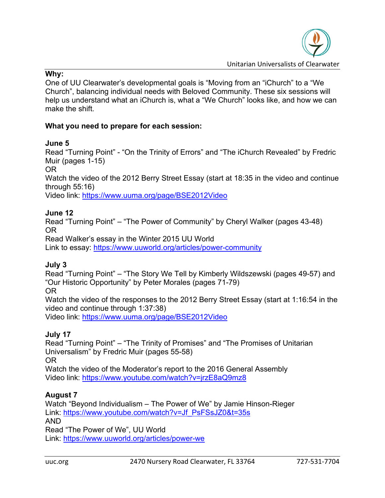#### **Why:**

One of UU Clearwater's developmental goals is "Moving from an "iChurch" to a "We Church", balancing individual needs with Beloved Community. These six sessions will help us understand what an iChurch is, what a "We Church" looks like, and how we can make the shift.

# **What you need to prepare for each session:**

### **June 5**

Read "Turning Point" - "On the Trinity of Errors" and "The iChurch Revealed" by Fredric Muir (pages 1-15)

OR

Watch the video of the 2012 Berry Street Essay (start at 18:35 in the video and continue through 55:16)

Video link:<https://www.uuma.org/page/BSE2012Video>

### **June 12**

Read "Turning Point" – "The Power of Community" by Cheryl Walker (pages 43-48) OR

Read Walker's essay in the Winter 2015 UU World

Link to essay:<https://www.uuworld.org/articles/power-community>

# **July 3**

Read "Turning Point" – "The Story We Tell by Kimberly Wildszewski (pages 49-57) and "Our Historic Opportunity" by Peter Morales (pages 71-79)

OR

Watch the video of the responses to the 2012 Berry Street Essay (start at 1:16:54 in the video and continue through 1:37:38)

Video link:<https://www.uuma.org/page/BSE2012Video>

# **July 17**

Read "Turning Point" – "The Trinity of Promises" and "The Promises of Unitarian Universalism" by Fredric Muir (pages 55-58) OR

Watch the video of the Moderator's report to the 2016 General Assembly Video link:<https://www.youtube.com/watch?v=jrzE8aQ9mz8>

# **August 7**

Watch "Beyond Individualism – The Power of We" by Jamie Hinson-Rieger Link: [https://www.youtube.com/watch?v=Jf\\_PsFSsJZ0&t=35s](https://www.youtube.com/watch?v=Jf_PsFSsJZ0&t=35s) AND Read "The Power of We", UU World

Link:<https://www.uuworld.org/articles/power-we>